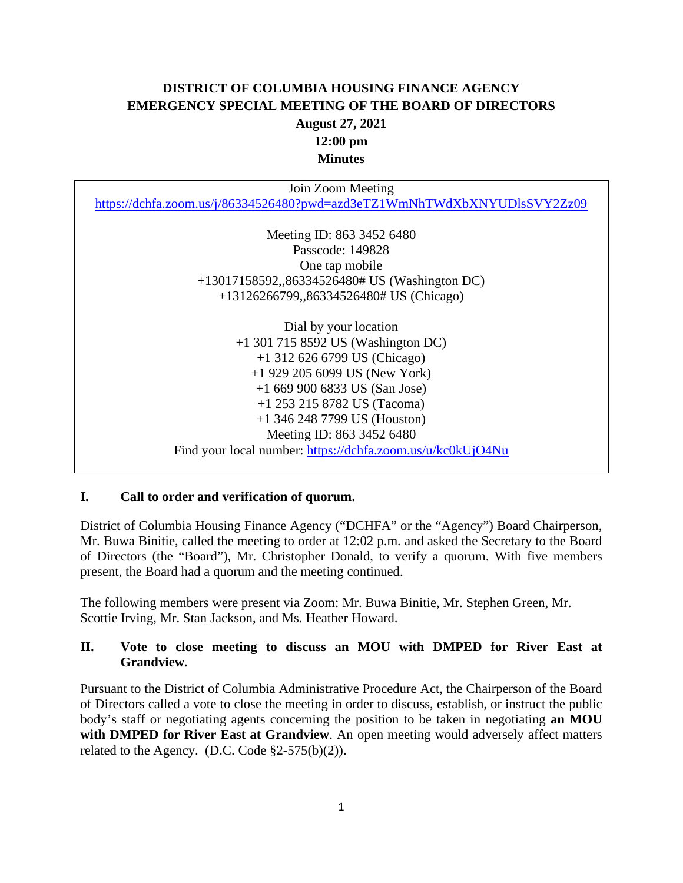# **DISTRICT OF COLUMBIA HOUSING FINANCE AGENCY EMERGENCY SPECIAL MEETING OF THE BOARD OF DIRECTORS August 27, 2021 12:00 pm Minutes**

Join Zoom Meeting <https://dchfa.zoom.us/j/86334526480?pwd=azd3eTZ1WmNhTWdXbXNYUDlsSVY2Zz09> Meeting ID: 863 3452 6480 Passcode: 149828 One tap mobile +13017158592,,86334526480# US (Washington DC) +13126266799,,86334526480# US (Chicago)

> Dial by your location +1 301 715 8592 US (Washington DC) +1 312 626 6799 US (Chicago) +1 929 205 6099 US (New York) +1 669 900 6833 US (San Jose) +1 253 215 8782 US (Tacoma) +1 346 248 7799 US (Houston) Meeting ID: 863 3452 6480 Find your local number:<https://dchfa.zoom.us/u/kc0kUjO4Nu>

#### **I. Call to order and verification of quorum.**

District of Columbia Housing Finance Agency ("DCHFA" or the "Agency") Board Chairperson, Mr. Buwa Binitie, called the meeting to order at 12:02 p.m. and asked the Secretary to the Board of Directors (the "Board"), Mr. Christopher Donald, to verify a quorum. With five members present, the Board had a quorum and the meeting continued.

The following members were present via Zoom: Mr. Buwa Binitie, Mr. Stephen Green, Mr. Scottie Irving, Mr. Stan Jackson, and Ms. Heather Howard.

### **II. Vote to close meeting to discuss an MOU with DMPED for River East at Grandview.**

Pursuant to the District of Columbia Administrative Procedure Act, the Chairperson of the Board of Directors called a vote to close the meeting in order to discuss, establish, or instruct the public body's staff or negotiating agents concerning the position to be taken in negotiating **an MOU with DMPED for River East at Grandview**. An open meeting would adversely affect matters related to the Agency. (D.C. Code  $\S2-575(b)(2)$ ).